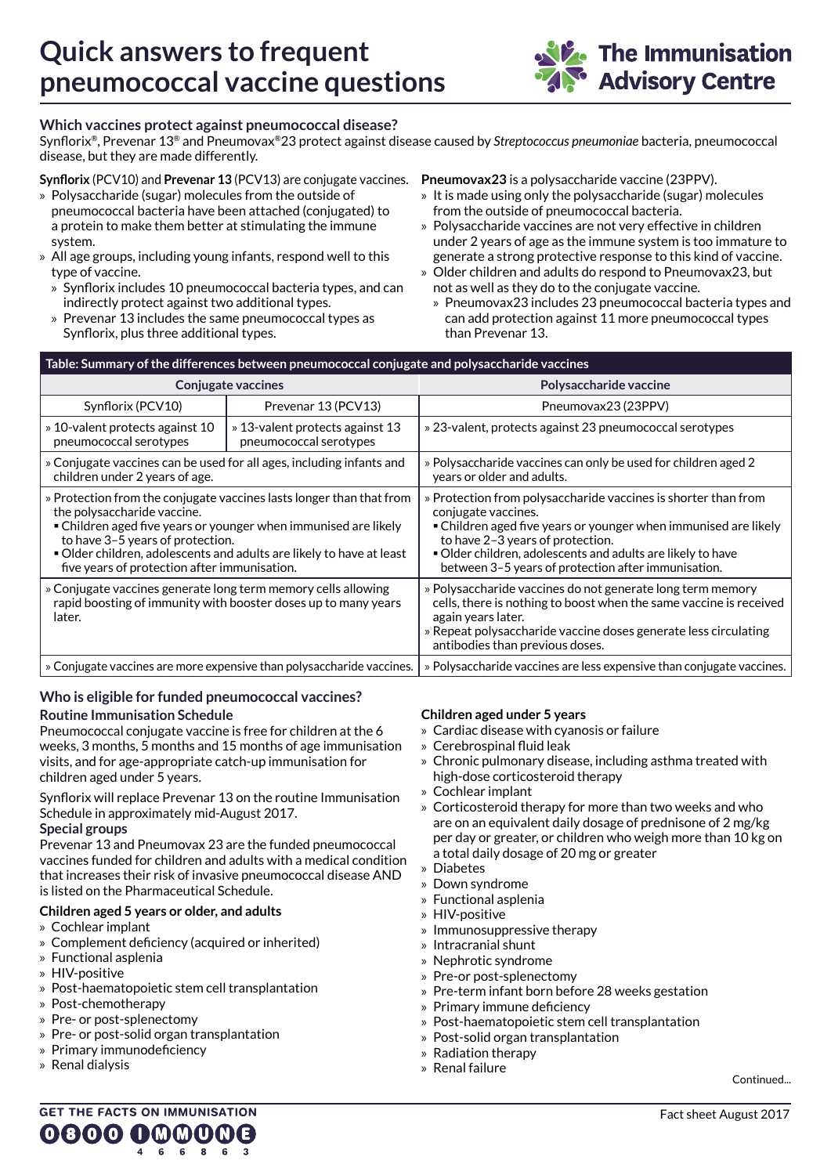

## **Which vaccines protect against pneumococcal disease?**

Synflorix®, Prevenar 13® and Pneumovax®23 protect against disease caused by *Streptococcus pneumoniae* bacteria, pneumococcal disease, but they are made differently.

## **Synflorix** (PCV10) and **Prevenar 13** (PCV13) are conjugate vaccines.

- » Polysaccharide (sugar) molecules from the outside of pneumococcal bacteria have been attached (conjugated) to a protein to make them better at stimulating the immune system.
- » All age groups, including young infants, respond well to this type of vaccine.
	- » Synflorix includes 10 pneumococcal bacteria types, and can indirectly protect against two additional types.
	- » Prevenar 13 includes the same pneumococcal types as Synflorix, plus three additional types.

#### **Pneumovax23** is a polysaccharide vaccine (23PPV).

- » It is made using only the polysaccharide (sugar) molecules from the outside of pneumococcal bacteria.
- » Polysaccharide vaccines are not very effective in children under 2 years of age as the immune system is too immature to
- generate a strong protective response to this kind of vaccine. » Older children and adults do respond to Pneumovax23, but
- not as well as they do to the conjugate vaccine.
- » Pneumovax23 includes 23 pneumococcal bacteria types and can add protection against 11 more pneumococcal types than Prevenar 13.

| Table: Summary of the differences between pneumococcal conjugate and polysaccharide vaccines                                                                                                                                                                                                                                     |                                                           |                                                                                                                                                                                                                                                                                                                  |  |
|----------------------------------------------------------------------------------------------------------------------------------------------------------------------------------------------------------------------------------------------------------------------------------------------------------------------------------|-----------------------------------------------------------|------------------------------------------------------------------------------------------------------------------------------------------------------------------------------------------------------------------------------------------------------------------------------------------------------------------|--|
| <b>Conjugate vaccines</b>                                                                                                                                                                                                                                                                                                        |                                                           | Polysaccharide vaccine                                                                                                                                                                                                                                                                                           |  |
| Synflorix (PCV10)                                                                                                                                                                                                                                                                                                                | Prevenar 13 (PCV13)                                       | Pneumovax23 (23PPV)                                                                                                                                                                                                                                                                                              |  |
| » 10-valent protects against 10<br>pneumococcal serotypes                                                                                                                                                                                                                                                                        | » 13-valent protects against 13<br>pneumococcal serotypes | » 23-valent, protects against 23 pneumococcal serotypes                                                                                                                                                                                                                                                          |  |
| » Conjugate vaccines can be used for all ages, including infants and<br>children under 2 years of age.                                                                                                                                                                                                                           |                                                           | » Polysaccharide vaccines can only be used for children aged 2<br>years or older and adults.                                                                                                                                                                                                                     |  |
| » Protection from the conjugate vaccines lasts longer than that from<br>the polysaccharide vaccine.<br>• Children aged five years or younger when immunised are likely<br>to have 3-5 years of protection.<br>Older children, adolescents and adults are likely to have at least<br>five years of protection after immunisation. |                                                           | » Protection from polysaccharide vaccines is shorter than from<br>conjugate vaccines.<br>• Children aged five years or younger when immunised are likely<br>to have 2-3 years of protection.<br>Older children, adolescents and adults are likely to have<br>between 3-5 years of protection after immunisation. |  |
| » Conjugate vaccines generate long term memory cells allowing<br>rapid boosting of immunity with booster doses up to many years<br>later.                                                                                                                                                                                        |                                                           | » Polysaccharide vaccines do not generate long term memory<br>cells, there is nothing to boost when the same vaccine is received<br>again years later.<br>» Repeat polysaccharide vaccine doses generate less circulating<br>antibodies than previous doses.                                                     |  |
| » Conjugate vaccines are more expensive than polysaccharide vaccines.                                                                                                                                                                                                                                                            |                                                           | » Polysaccharide vaccines are less expensive than conjugate vaccines.                                                                                                                                                                                                                                            |  |
|                                                                                                                                                                                                                                                                                                                                  |                                                           |                                                                                                                                                                                                                                                                                                                  |  |

# **Who is eligible for funded pneumococcal vaccines?**

#### **Routine Immunisation Schedule**

Pneumococcal conjugate vaccine is free for children at the 6 weeks, 3 months, 5 months and 15 months of age immunisation visits, and for age-appropriate catch-up immunisation for children aged under 5 years.

Synflorix will replace Prevenar 13 on the routine Immunisation Schedule in approximately mid-August 2017. **Special groups**

Prevenar 13 and Pneumovax 23 are the funded pneumococcal vaccines funded for children and adults with a medical condition that increases their risk of invasive pneumococcal disease AND is listed on the Pharmaceutical Schedule.

#### **Children aged 5 years or older, and adults**

- » Cochlear implant
- » Complement deficiency (acquired or inherited)
- » Functional asplenia
- » HIV-positive
- » Post-haematopoietic stem cell transplantation
- » Post-chemotherapy
- » Pre- or post-splenectomy
- » Pre- or post-solid organ transplantation
- » Primary immunodeficiency
- » Renal dialysis

## **Children aged under 5 years**

- » Cardiac disease with cyanosis or failure
- » Cerebrospinal fluid leak
- » Chronic pulmonary disease, including asthma treated with high-dose corticosteroid therapy
- » Cochlear implant
- » Corticosteroid therapy for more than two weeks and who are on an equivalent daily dosage of prednisone of 2 mg/kg per day or greater, or children who weigh more than 10 kg on a total daily dosage of 20 mg or greater
- » Diabetes
- » Down syndrome
- » Functional asplenia
- » HIV-positive
- » Immunosuppressive therapy
- » Intracranial shunt
- » Nephrotic syndrome
- » Pre-or post-splenectomy
- » Pre-term infant born before 28 weeks gestation
- » Primary immune deficiency
- » Post-haematopoietic stem cell transplantation
- » Post-solid organ transplantation
- » Radiation therapy
- » Renal failure

Continued...